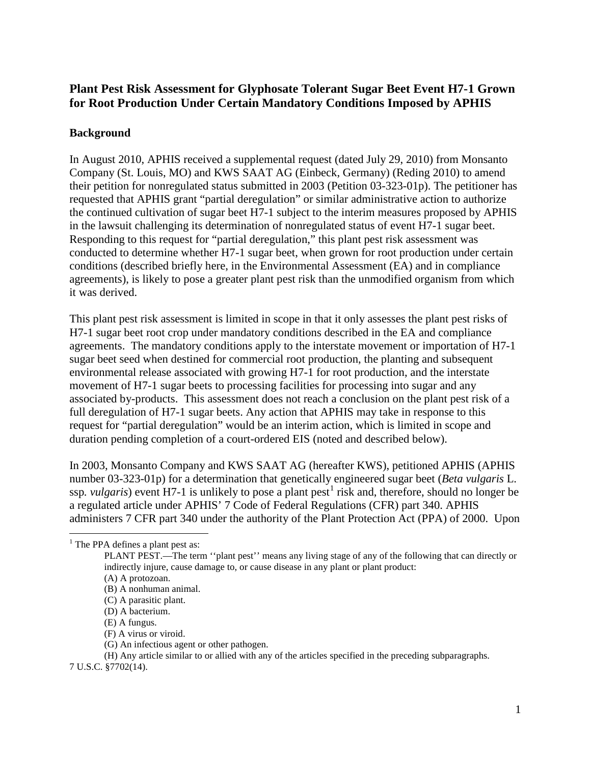# **Plant Pest Risk Assessment for Glyphosate Tolerant Sugar Beet Event H7-1 Grown for Root Production Under Certain Mandatory Conditions Imposed by APHIS**

# **Background**

In August 2010, APHIS received a supplemental request (dated July 29, 2010) from Monsanto Company (St. Louis, MO) and KWS SAAT AG (Einbeck, Germany) (Reding 2010) to amend their petition for nonregulated status submitted in 2003 (Petition 03-323-01p). The petitioner has requested that APHIS grant "partial deregulation" or similar administrative action to authorize the continued cultivation of sugar beet H7-1 subject to the interim measures proposed by APHIS in the lawsuit challenging its determination of nonregulated status of event H7-1 sugar beet. Responding to this request for "partial deregulation," this plant pest risk assessment was conducted to determine whether H7-1 sugar beet, when grown for root production under certain conditions (described briefly here, in the Environmental Assessment (EA) and in compliance agreements), is likely to pose a greater plant pest risk than the unmodified organism from which it was derived.

This plant pest risk assessment is limited in scope in that it only assesses the plant pest risks of H7-1 sugar beet root crop under mandatory conditions described in the EA and compliance agreements. The mandatory conditions apply to the interstate movement or importation of H7-1 sugar beet seed when destined for commercial root production, the planting and subsequent environmental release associated with growing H7-1 for root production, and the interstate movement of H7-1 sugar beets to processing facilities for processing into sugar and any associated by-products. This assessment does not reach a conclusion on the plant pest risk of a full deregulation of H7-1 sugar beets. Any action that APHIS may take in response to this request for "partial deregulation" would be an interim action, which is limited in scope and duration pending completion of a court-ordered EIS (noted and described below).

In 2003, Monsanto Company and KWS SAAT AG (hereafter KWS), petitioned APHIS (APHIS number 03-323-01p) for a determination that genetically engineered sugar beet (*Beta vulgaris* L. ssp. *vulgaris*) event H7-[1](#page-0-0) is unlikely to pose a plant pest<sup>1</sup> risk and, therefore, should no longer be a regulated article under APHIS' 7 Code of Federal Regulations (CFR) part 340. APHIS administers 7 CFR part 340 under the authority of the Plant Protection Act (PPA) of 2000. Upon

- (C) A parasitic plant.
- (D) A bacterium.
- (E) A fungus.
- (F) A virus or viroid.
- (G) An infectious agent or other pathogen.

(H) Any article similar to or allied with any of the articles specified in the preceding subparagraphs.

7 U.S.C. §7702(14).

<span id="page-0-0"></span> $<sup>1</sup>$  The PPA defines a plant pest as:</sup>

PLANT PEST.—The term ''plant pest'' means any living stage of any of the following that can directly or indirectly injure, cause damage to, or cause disease in any plant or plant product:

<sup>(</sup>A) A protozoan.

<sup>(</sup>B) A nonhuman animal.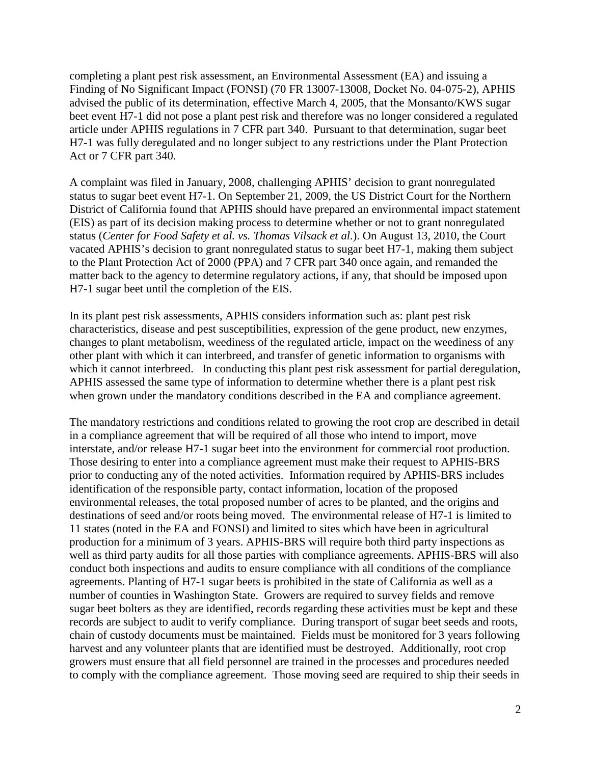completing a plant pest risk assessment, an Environmental Assessment (EA) and issuing a Finding of No Significant Impact (FONSI) (70 FR 13007-13008, Docket No. 04-075-2), APHIS advised the public of its determination, effective March 4, 2005, that the Monsanto/KWS sugar beet event H7-1 did not pose a plant pest risk and therefore was no longer considered a regulated article under APHIS regulations in 7 CFR part 340. Pursuant to that determination, sugar beet H7-1 was fully deregulated and no longer subject to any restrictions under the Plant Protection Act or 7 CFR part 340.

A complaint was filed in January, 2008, challenging APHIS' decision to grant nonregulated status to sugar beet event H7-1. On September 21, 2009, the US District Court for the Northern District of California found that APHIS should have prepared an environmental impact statement (EIS) as part of its decision making process to determine whether or not to grant nonregulated status (*Center for Food Safety et al. vs. Thomas Vilsack et al.*). On August 13, 2010, the Court vacated APHIS's decision to grant nonregulated status to sugar beet H7-1, making them subject to the Plant Protection Act of 2000 (PPA) and 7 CFR part 340 once again, and remanded the matter back to the agency to determine regulatory actions, if any, that should be imposed upon H7-1 sugar beet until the completion of the EIS.

In its plant pest risk assessments, APHIS considers information such as: plant pest risk characteristics, disease and pest susceptibilities, expression of the gene product, new enzymes*,*  changes to plant metabolism, weediness of the regulated article, impact on the weediness of any other plant with which it can interbreed, and transfer of genetic information to organisms with which it cannot interbreed. In conducting this plant pest risk assessment for partial deregulation, APHIS assessed the same type of information to determine whether there is a plant pest risk when grown under the mandatory conditions described in the EA and compliance agreement.

The mandatory restrictions and conditions related to growing the root crop are described in detail in a compliance agreement that will be required of all those who intend to import, move interstate, and/or release H7-1 sugar beet into the environment for commercial root production. Those desiring to enter into a compliance agreement must make their request to APHIS-BRS prior to conducting any of the noted activities. Information required by APHIS-BRS includes identification of the responsible party, contact information, location of the proposed environmental releases, the total proposed number of acres to be planted, and the origins and destinations of seed and/or roots being moved. The environmental release of H7-1 is limited to 11 states (noted in the EA and FONSI) and limited to sites which have been in agricultural production for a minimum of 3 years. APHIS-BRS will require both third party inspections as well as third party audits for all those parties with compliance agreements. APHIS-BRS will also conduct both inspections and audits to ensure compliance with all conditions of the compliance agreements. Planting of H7-1 sugar beets is prohibited in the state of California as well as a number of counties in Washington State. Growers are required to survey fields and remove sugar beet bolters as they are identified, records regarding these activities must be kept and these records are subject to audit to verify compliance. During transport of sugar beet seeds and roots, chain of custody documents must be maintained. Fields must be monitored for 3 years following harvest and any volunteer plants that are identified must be destroyed. Additionally, root crop growers must ensure that all field personnel are trained in the processes and procedures needed to comply with the compliance agreement. Those moving seed are required to ship their seeds in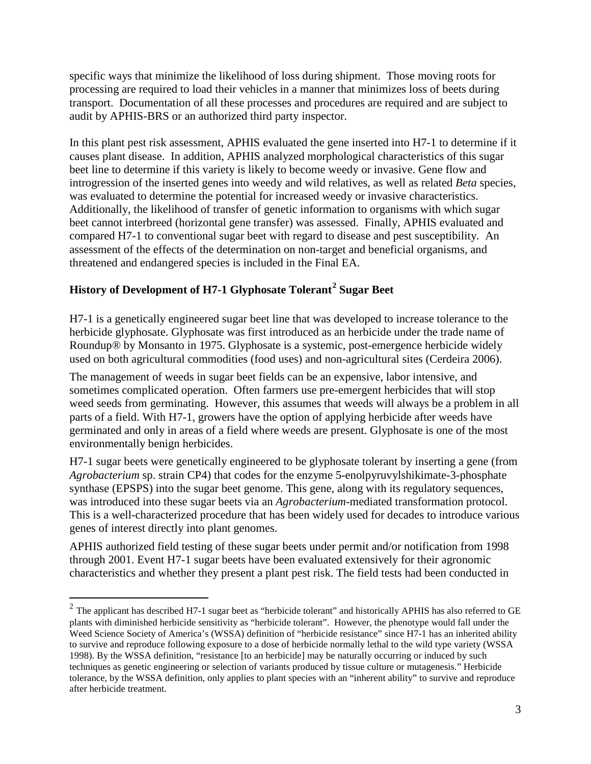specific ways that minimize the likelihood of loss during shipment. Those moving roots for processing are required to load their vehicles in a manner that minimizes loss of beets during transport. Documentation of all these processes and procedures are required and are subject to audit by APHIS-BRS or an authorized third party inspector.

In this plant pest risk assessment, APHIS evaluated the gene inserted into H7-1 to determine if it causes plant disease. In addition, APHIS analyzed morphological characteristics of this sugar beet line to determine if this variety is likely to become weedy or invasive. Gene flow and introgression of the inserted genes into weedy and wild relatives, as well as related *Beta* species, was evaluated to determine the potential for increased weedy or invasive characteristics. Additionally, the likelihood of transfer of genetic information to organisms with which sugar beet cannot interbreed (horizontal gene transfer) was assessed. Finally, APHIS evaluated and compared H7-1 to conventional sugar beet with regard to disease and pest susceptibility. An assessment of the effects of the determination on non-target and beneficial organisms, and threatened and endangered species is included in the Final EA.

# **History of Development of H7-1 Glyphosate Tolerant[2](#page-2-0) Sugar Beet**

H7-1 is a genetically engineered sugar beet line that was developed to increase tolerance to the herbicide glyphosate. Glyphosate was first introduced as an herbicide under the trade name of Roundup® by Monsanto in 1975. Glyphosate is a systemic, post-emergence herbicide widely used on both agricultural commodities (food uses) and non-agricultural sites (Cerdeira 2006).

The management of weeds in sugar beet fields can be an expensive, labor intensive, and sometimes complicated operation. Often farmers use pre-emergent herbicides that will stop weed seeds from germinating. However, this assumes that weeds will always be a problem in all parts of a field. With H7-1, growers have the option of applying herbicide after weeds have germinated and only in areas of a field where weeds are present. Glyphosate is one of the most environmentally benign herbicides.

H7-1 sugar beets were genetically engineered to be glyphosate tolerant by inserting a gene (from *Agrobacterium* sp. strain CP4) that codes for the enzyme 5-enolpyruvylshikimate-3-phosphate synthase (EPSPS) into the sugar beet genome. This gene, along with its regulatory sequences, was introduced into these sugar beets via an *Agrobacterium*-mediated transformation protocol. This is a well-characterized procedure that has been widely used for decades to introduce various genes of interest directly into plant genomes.

APHIS authorized field testing of these sugar beets under permit and/or notification from 1998 through 2001. Event H7-1 sugar beets have been evaluated extensively for their agronomic characteristics and whether they present a plant pest risk. The field tests had been conducted in

<span id="page-2-0"></span> $2$  The applicant has described H7-1 sugar beet as "herbicide tolerant" and historically APHIS has also referred to GE plants with diminished herbicide sensitivity as "herbicide tolerant". However, the phenotype would fall under the Weed Science Society of America's (WSSA) definition of "herbicide resistance" since H7-1 has an inherited ability to survive and reproduce following exposure to a dose of herbicide normally lethal to the wild type variety (WSSA 1998). By the WSSA definition, "resistance [to an herbicide] may be naturally occurring or induced by such techniques as genetic engineering or selection of variants produced by tissue culture or mutagenesis." Herbicide tolerance, by the WSSA definition, only applies to plant species with an "inherent ability" to survive and reproduce after herbicide treatment.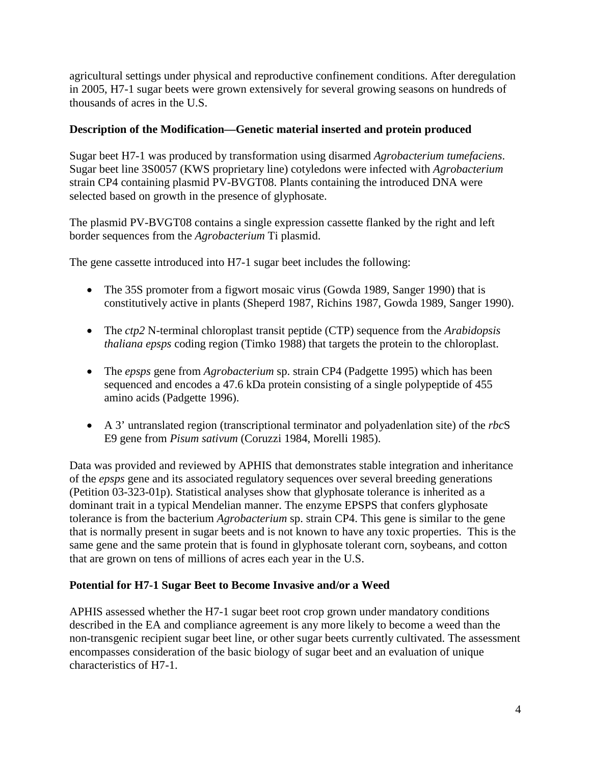agricultural settings under physical and reproductive confinement conditions. After deregulation in 2005, H7-1 sugar beets were grown extensively for several growing seasons on hundreds of thousands of acres in the U.S.

## **Description of the Modification—Genetic material inserted and protein produced**

Sugar beet H7-1 was produced by transformation using disarmed *Agrobacterium tumefaciens*. Sugar beet line 3S0057 (KWS proprietary line) cotyledons were infected with *Agrobacterium* strain CP4 containing plasmid PV-BVGT08. Plants containing the introduced DNA were selected based on growth in the presence of glyphosate.

The plasmid PV-BVGT08 contains a single expression cassette flanked by the right and left border sequences from the *Agrobacterium* Ti plasmid.

The gene cassette introduced into H7-1 sugar beet includes the following:

- The 35S promoter from a figwort mosaic virus (Gowda 1989, Sanger 1990) that is constitutively active in plants (Sheperd 1987, Richins 1987, Gowda 1989, Sanger 1990).
- The *ctp2* N-terminal chloroplast transit peptide (CTP) sequence from the *Arabidopsis thaliana epsps* coding region (Timko 1988) that targets the protein to the chloroplast.
- The *epsps* gene from *Agrobacterium* sp. strain CP4 (Padgette 1995) which has been sequenced and encodes a 47.6 kDa protein consisting of a single polypeptide of 455 amino acids (Padgette 1996).
- A 3' untranslated region (transcriptional terminator and polyadenlation site) of the *rbc*S E9 gene from *Pisum sativum* (Coruzzi 1984, Morelli 1985).

Data was provided and reviewed by APHIS that demonstrates stable integration and inheritance of the *epsps* gene and its associated regulatory sequences over several breeding generations (Petition 03-323-01p). Statistical analyses show that glyphosate tolerance is inherited as a dominant trait in a typical Mendelian manner. The enzyme EPSPS that confers glyphosate tolerance is from the bacterium *Agrobacterium* sp. strain CP4. This gene is similar to the gene that is normally present in sugar beets and is not known to have any toxic properties. This is the same gene and the same protein that is found in glyphosate tolerant corn, soybeans, and cotton that are grown on tens of millions of acres each year in the U.S.

## **Potential for H7-1 Sugar Beet to Become Invasive and/or a Weed**

APHIS assessed whether the H7-1 sugar beet root crop grown under mandatory conditions described in the EA and compliance agreement is any more likely to become a weed than the non-transgenic recipient sugar beet line, or other sugar beets currently cultivated. The assessment encompasses consideration of the basic biology of sugar beet and an evaluation of unique characteristics of H7-1.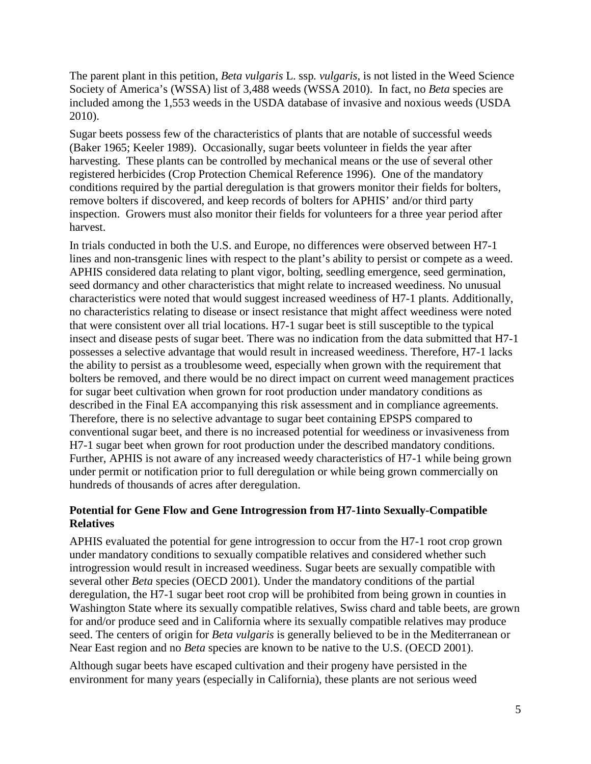The parent plant in this petition, *Beta vulgaris* L. ssp*. vulgaris*, is not listed in the Weed Science Society of America's (WSSA) list of 3,488 weeds (WSSA 2010). In fact, no *Beta* species are included among the 1,553 weeds in the USDA database of invasive and noxious weeds (USDA 2010).

Sugar beets possess few of the characteristics of plants that are notable of successful weeds (Baker 1965; Keeler 1989). Occasionally, sugar beets volunteer in fields the year after harvesting. These plants can be controlled by mechanical means or the use of several other registered herbicides (Crop Protection Chemical Reference 1996). One of the mandatory conditions required by the partial deregulation is that growers monitor their fields for bolters, remove bolters if discovered, and keep records of bolters for APHIS' and/or third party inspection. Growers must also monitor their fields for volunteers for a three year period after harvest.

In trials conducted in both the U.S. and Europe, no differences were observed between H7-1 lines and non-transgenic lines with respect to the plant's ability to persist or compete as a weed. APHIS considered data relating to plant vigor, bolting, seedling emergence, seed germination, seed dormancy and other characteristics that might relate to increased weediness. No unusual characteristics were noted that would suggest increased weediness of H7-1 plants. Additionally, no characteristics relating to disease or insect resistance that might affect weediness were noted that were consistent over all trial locations. H7-1 sugar beet is still susceptible to the typical insect and disease pests of sugar beet. There was no indication from the data submitted that H7-1 possesses a selective advantage that would result in increased weediness. Therefore, H7-1 lacks the ability to persist as a troublesome weed, especially when grown with the requirement that bolters be removed, and there would be no direct impact on current weed management practices for sugar beet cultivation when grown for root production under mandatory conditions as described in the Final EA accompanying this risk assessment and in compliance agreements. Therefore, there is no selective advantage to sugar beet containing EPSPS compared to conventional sugar beet, and there is no increased potential for weediness or invasiveness from H7-1 sugar beet when grown for root production under the described mandatory conditions. Further, APHIS is not aware of any increased weedy characteristics of H7-1 while being grown under permit or notification prior to full deregulation or while being grown commercially on hundreds of thousands of acres after deregulation.

# **Potential for Gene Flow and Gene Introgression from H7-1into Sexually-Compatible Relatives**

APHIS evaluated the potential for gene introgression to occur from the H7-1 root crop grown under mandatory conditions to sexually compatible relatives and considered whether such introgression would result in increased weediness. Sugar beets are sexually compatible with several other *Beta* species (OECD 2001). Under the mandatory conditions of the partial deregulation, the H7-1 sugar beet root crop will be prohibited from being grown in counties in Washington State where its sexually compatible relatives, Swiss chard and table beets, are grown for and/or produce seed and in California where its sexually compatible relatives may produce seed. The centers of origin for *Beta vulgaris* is generally believed to be in the Mediterranean or Near East region and no *Beta* species are known to be native to the U.S. (OECD 2001).

Although sugar beets have escaped cultivation and their progeny have persisted in the environment for many years (especially in California), these plants are not serious weed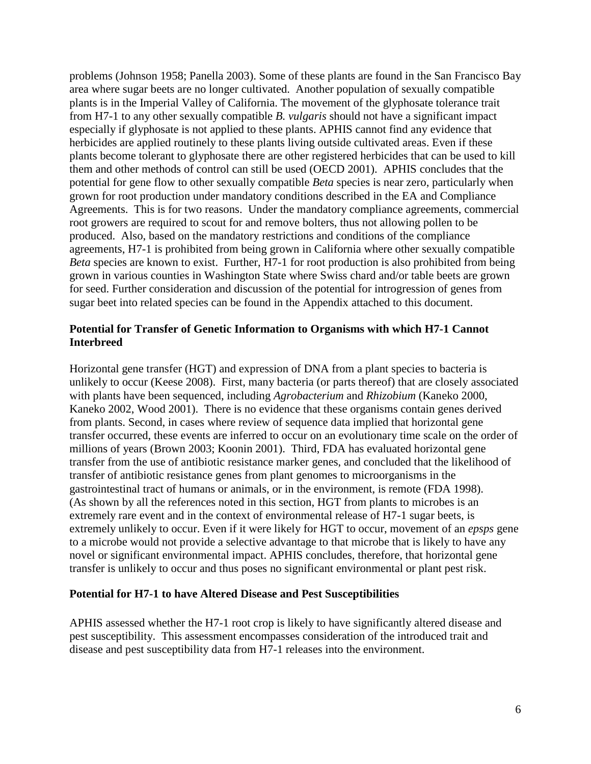problems (Johnson 1958; Panella 2003). Some of these plants are found in the San Francisco Bay area where sugar beets are no longer cultivated. Another population of sexually compatible plants is in the Imperial Valley of California. The movement of the glyphosate tolerance trait from H7-1 to any other sexually compatible *B. vulgaris* should not have a significant impact especially if glyphosate is not applied to these plants. APHIS cannot find any evidence that herbicides are applied routinely to these plants living outside cultivated areas. Even if these plants become tolerant to glyphosate there are other registered herbicides that can be used to kill them and other methods of control can still be used (OECD 2001). APHIS concludes that the potential for gene flow to other sexually compatible *Beta* species is near zero, particularly when grown for root production under mandatory conditions described in the EA and Compliance Agreements. This is for two reasons. Under the mandatory compliance agreements, commercial root growers are required to scout for and remove bolters, thus not allowing pollen to be produced. Also, based on the mandatory restrictions and conditions of the compliance agreements, H7-1 is prohibited from being grown in California where other sexually compatible *Beta* species are known to exist. Further, H7-1 for root production is also prohibited from being grown in various counties in Washington State where Swiss chard and/or table beets are grown for seed. Further consideration and discussion of the potential for introgression of genes from sugar beet into related species can be found in the Appendix attached to this document.

## **Potential for Transfer of Genetic Information to Organisms with which H7-1 Cannot Interbreed**

Horizontal gene transfer (HGT) and expression of DNA from a plant species to bacteria is unlikely to occur (Keese 2008). First, many bacteria (or parts thereof) that are closely associated with plants have been sequenced, including *Agrobacterium* and *Rhizobium* (Kaneko 2000, Kaneko 2002, Wood 2001). There is no evidence that these organisms contain genes derived from plants. Second, in cases where review of sequence data implied that horizontal gene transfer occurred, these events are inferred to occur on an evolutionary time scale on the order of millions of years (Brown 2003; Koonin 2001). Third, FDA has evaluated horizontal gene transfer from the use of antibiotic resistance marker genes, and concluded that the likelihood of transfer of antibiotic resistance genes from plant genomes to microorganisms in the gastrointestinal tract of humans or animals, or in the environment, is remote (FDA 1998). (As shown by all the references noted in this section, HGT from plants to microbes is an extremely rare event and in the context of environmental release of H7-1 sugar beets, is extremely unlikely to occur. Even if it were likely for HGT to occur, movement of an *epsps* gene to a microbe would not provide a selective advantage to that microbe that is likely to have any novel or significant environmental impact. APHIS concludes, therefore, that horizontal gene transfer is unlikely to occur and thus poses no significant environmental or plant pest risk.

#### **Potential for H7-1 to have Altered Disease and Pest Susceptibilities**

APHIS assessed whether the H7-1 root crop is likely to have significantly altered disease and pest susceptibility. This assessment encompasses consideration of the introduced trait and disease and pest susceptibility data from H7-1 releases into the environment.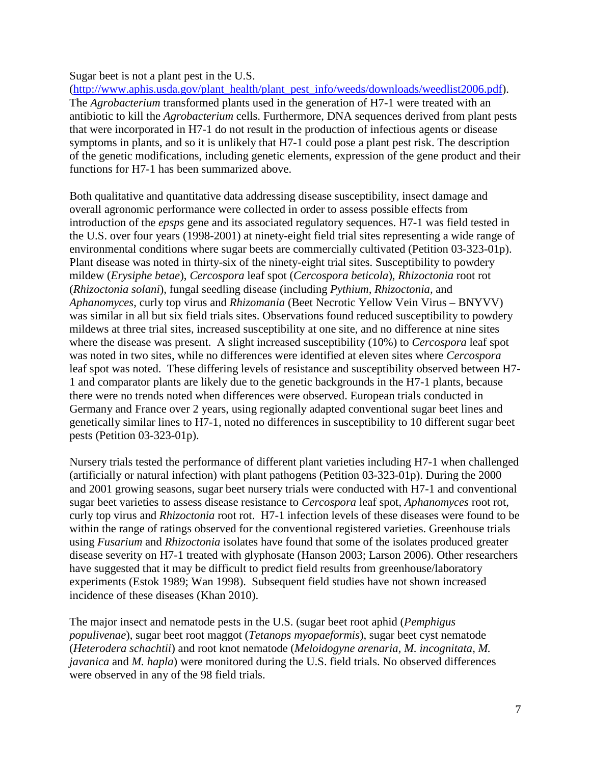Sugar beet is not a plant pest in the U.S.

[\(http://www.aphis.usda.gov/plant\\_health/plant\\_pest\\_info/weeds/downloads/weedlist2006.pdf\)](http://www.aphis.usda.gov/plant_health/plant_pest_info/weeds/downloads/weedlist2006.pdf). The *Agrobacterium* transformed plants used in the generation of H7-1 were treated with an antibiotic to kill the *Agrobacterium* cells. Furthermore, DNA sequences derived from plant pests that were incorporated in H7-1 do not result in the production of infectious agents or disease symptoms in plants, and so it is unlikely that H7-1 could pose a plant pest risk. The description of the genetic modifications, including genetic elements, expression of the gene product and their functions for H7-1 has been summarized above.

Both qualitative and quantitative data addressing disease susceptibility, insect damage and overall agronomic performance were collected in order to assess possible effects from introduction of the *epsps* gene and its associated regulatory sequences. H7-1 was field tested in the U.S. over four years (1998-2001) at ninety-eight field trial sites representing a wide range of environmental conditions where sugar beets are commercially cultivated (Petition 03-323-01p). Plant disease was noted in thirty-six of the ninety-eight trial sites. Susceptibility to powdery mildew (*Erysiphe betae*), *Cercospora* leaf spot (*Cercospora beticola*), *Rhizoctonia* root rot (*Rhizoctonia solani*), fungal seedling disease (including *Pythium, Rhizoctonia,* and *Aphanomyces*, curly top virus and *Rhizomania* (Beet Necrotic Yellow Vein Virus – BNYVV) was similar in all but six field trials sites. Observations found reduced susceptibility to powdery mildews at three trial sites, increased susceptibility at one site, and no difference at nine sites where the disease was present. A slight increased susceptibility (10%) to *Cercospora* leaf spot was noted in two sites, while no differences were identified at eleven sites where *Cercospora*  leaf spot was noted. These differing levels of resistance and susceptibility observed between H7- 1 and comparator plants are likely due to the genetic backgrounds in the H7-1 plants, because there were no trends noted when differences were observed. European trials conducted in Germany and France over 2 years, using regionally adapted conventional sugar beet lines and genetically similar lines to H7-1, noted no differences in susceptibility to 10 different sugar beet pests (Petition 03-323-01p).

Nursery trials tested the performance of different plant varieties including H7-1 when challenged (artificially or natural infection) with plant pathogens (Petition 03-323-01p). During the 2000 and 2001 growing seasons, sugar beet nursery trials were conducted with H7-1 and conventional sugar beet varieties to assess disease resistance to *Cercospora* leaf spot, *Aphanomyces* root rot, curly top virus and *Rhizoctonia* root rot. H7-1 infection levels of these diseases were found to be within the range of ratings observed for the conventional registered varieties. Greenhouse trials using *Fusarium* and *Rhizoctonia* isolates have found that some of the isolates produced greater disease severity on H7-1 treated with glyphosate (Hanson 2003; Larson 2006). Other researchers have suggested that it may be difficult to predict field results from greenhouse/laboratory experiments (Estok 1989; Wan 1998). Subsequent field studies have not shown increased incidence of these diseases (Khan 2010).

The major insect and nematode pests in the U.S. (sugar beet root aphid (*Pemphigus populivenae*), sugar beet root maggot (*Tetanops myopaeformis*), sugar beet cyst nematode (*Heterodera schachtii*) and root knot nematode (*Meloidogyne arenaria, M. incognitata, M. javanica* and *M. hapla*) were monitored during the U.S. field trials. No observed differences were observed in any of the 98 field trials.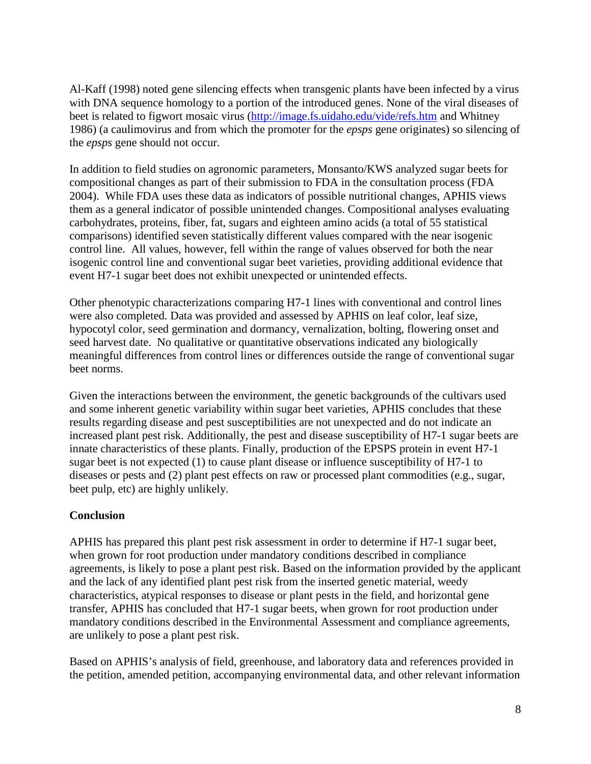Al-Kaff (1998) noted gene silencing effects when transgenic plants have been infected by a virus with DNA sequence homology to a portion of the introduced genes. None of the viral diseases of beet is related to figwort mosaic virus [\(http://image.fs.uidaho.edu/vide/refs.htm](http://image.fs.uidaho.edu/vide/refs.htm) and Whitney 1986) (a caulimovirus and from which the promoter for the *epsps* gene originates) so silencing of the *epsps* gene should not occur.

In addition to field studies on agronomic parameters, Monsanto/KWS analyzed sugar beets for compositional changes as part of their submission to FDA in the consultation process (FDA 2004). While FDA uses these data as indicators of possible nutritional changes, APHIS views them as a general indicator of possible unintended changes. Compositional analyses evaluating carbohydrates, proteins, fiber, fat, sugars and eighteen amino acids (a total of 55 statistical comparisons) identified seven statistically different values compared with the near isogenic control line. All values, however, fell within the range of values observed for both the near isogenic control line and conventional sugar beet varieties, providing additional evidence that event H7-1 sugar beet does not exhibit unexpected or unintended effects.

Other phenotypic characterizations comparing H7-1 lines with conventional and control lines were also completed. Data was provided and assessed by APHIS on leaf color, leaf size, hypocotyl color, seed germination and dormancy, vernalization, bolting, flowering onset and seed harvest date. No qualitative or quantitative observations indicated any biologically meaningful differences from control lines or differences outside the range of conventional sugar beet norms.

Given the interactions between the environment, the genetic backgrounds of the cultivars used and some inherent genetic variability within sugar beet varieties, APHIS concludes that these results regarding disease and pest susceptibilities are not unexpected and do not indicate an increased plant pest risk. Additionally, the pest and disease susceptibility of H7-1 sugar beets are innate characteristics of these plants. Finally, production of the EPSPS protein in event H7-1 sugar beet is not expected (1) to cause plant disease or influence susceptibility of H7-1 to diseases or pests and (2) plant pest effects on raw or processed plant commodities (e.g., sugar, beet pulp, etc) are highly unlikely.

## **Conclusion**

APHIS has prepared this plant pest risk assessment in order to determine if H7-1 sugar beet, when grown for root production under mandatory conditions described in compliance agreements, is likely to pose a plant pest risk. Based on the information provided by the applicant and the lack of any identified plant pest risk from the inserted genetic material, weedy characteristics, atypical responses to disease or plant pests in the field, and horizontal gene transfer, APHIS has concluded that H7-1 sugar beets, when grown for root production under mandatory conditions described in the Environmental Assessment and compliance agreements, are unlikely to pose a plant pest risk.

Based on APHIS's analysis of field, greenhouse, and laboratory data and references provided in the petition, amended petition, accompanying environmental data, and other relevant information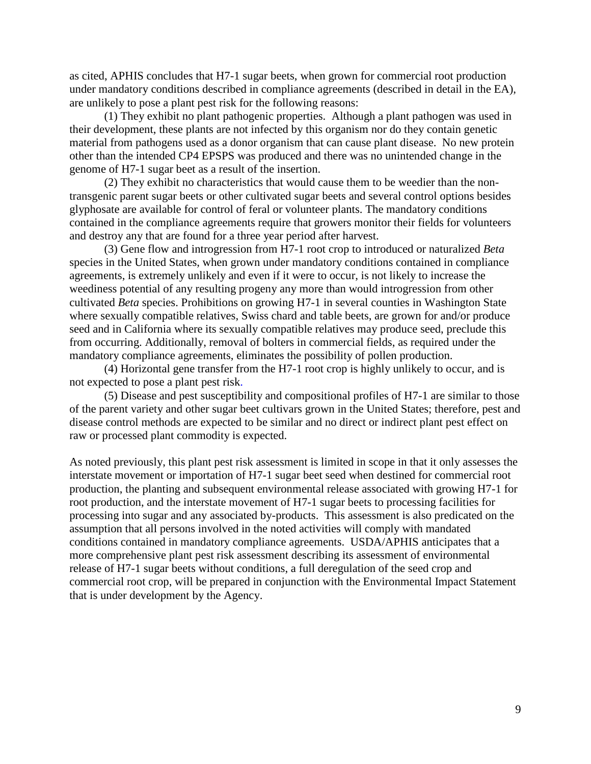as cited, APHIS concludes that H7-1 sugar beets, when grown for commercial root production under mandatory conditions described in compliance agreements (described in detail in the EA), are unlikely to pose a plant pest risk for the following reasons:

(1) They exhibit no plant pathogenic properties. Although a plant pathogen was used in their development, these plants are not infected by this organism nor do they contain genetic material from pathogens used as a donor organism that can cause plant disease. No new protein other than the intended CP4 EPSPS was produced and there was no unintended change in the genome of H7-1 sugar beet as a result of the insertion.

(2) They exhibit no characteristics that would cause them to be weedier than the nontransgenic parent sugar beets or other cultivated sugar beets and several control options besides glyphosate are available for control of feral or volunteer plants. The mandatory conditions contained in the compliance agreements require that growers monitor their fields for volunteers and destroy any that are found for a three year period after harvest.

(3) Gene flow and introgression from H7-1 root crop to introduced or naturalized *Beta* species in the United States, when grown under mandatory conditions contained in compliance agreements, is extremely unlikely and even if it were to occur, is not likely to increase the weediness potential of any resulting progeny any more than would introgression from other cultivated *Beta* species. Prohibitions on growing H7-1 in several counties in Washington State where sexually compatible relatives, Swiss chard and table beets, are grown for and/or produce seed and in California where its sexually compatible relatives may produce seed, preclude this from occurring. Additionally, removal of bolters in commercial fields, as required under the mandatory compliance agreements, eliminates the possibility of pollen production.

(4) Horizontal gene transfer from the H7-1 root crop is highly unlikely to occur, and is not expected to pose a plant pest risk.

(5) Disease and pest susceptibility and compositional profiles of H7-1 are similar to those of the parent variety and other sugar beet cultivars grown in the United States; therefore, pest and disease control methods are expected to be similar and no direct or indirect plant pest effect on raw or processed plant commodity is expected.

As noted previously, this plant pest risk assessment is limited in scope in that it only assesses the interstate movement or importation of H7-1 sugar beet seed when destined for commercial root production, the planting and subsequent environmental release associated with growing H7-1 for root production, and the interstate movement of H7-1 sugar beets to processing facilities for processing into sugar and any associated by-products. This assessment is also predicated on the assumption that all persons involved in the noted activities will comply with mandated conditions contained in mandatory compliance agreements. USDA/APHIS anticipates that a more comprehensive plant pest risk assessment describing its assessment of environmental release of H7-1 sugar beets without conditions, a full deregulation of the seed crop and commercial root crop, will be prepared in conjunction with the Environmental Impact Statement that is under development by the Agency.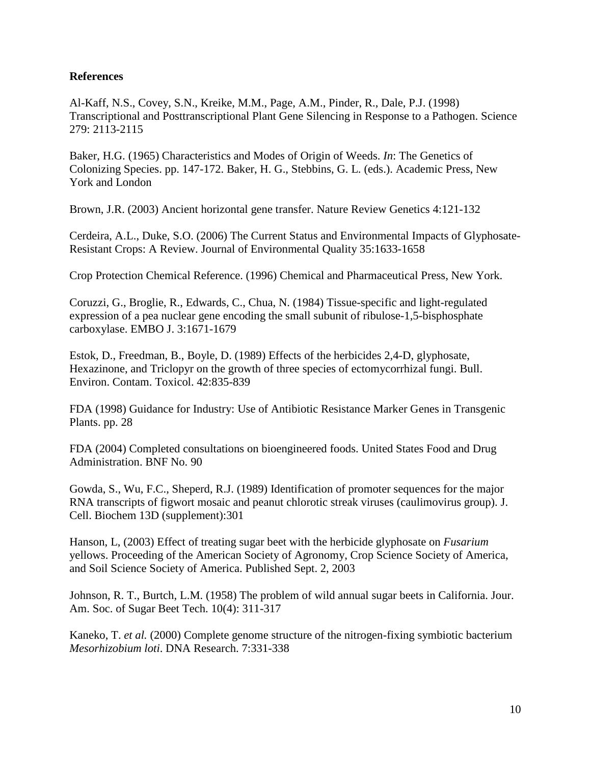#### **References**

Al-Kaff, N.S., Covey, S.N., Kreike, M.M., Page, A.M., Pinder, R., Dale, P.J. (1998) Transcriptional and Posttranscriptional Plant Gene Silencing in Response to a Pathogen. Science 279: 2113-2115

Baker, H.G. (1965) Characteristics and Modes of Origin of Weeds. *In*: The Genetics of Colonizing Species. pp. 147-172. Baker, H. G., Stebbins, G. L. (eds.). Academic Press, New York and London

Brown, J.R. (2003) Ancient horizontal gene transfer. Nature Review Genetics 4:121-132

Cerdeira, A.L., Duke, S.O. (2006) The Current Status and Environmental Impacts of Glyphosate-Resistant Crops: A Review. Journal of Environmental Quality 35:1633-1658

Crop Protection Chemical Reference. (1996) Chemical and Pharmaceutical Press, New York.

Coruzzi, G., Broglie, R., Edwards, C., Chua, N. (1984) Tissue-specific and light-regulated expression of a pea nuclear gene encoding the small subunit of ribulose-1,5-bisphosphate carboxylase. EMBO J. 3:1671-1679

Estok, D., Freedman, B., Boyle, D. (1989) Effects of the herbicides 2,4-D, glyphosate, Hexazinone, and Triclopyr on the growth of three species of ectomycorrhizal fungi. Bull. Environ. Contam. Toxicol. 42:835-839

FDA (1998) Guidance for Industry: Use of Antibiotic Resistance Marker Genes in Transgenic Plants. pp. 28

FDA (2004) Completed consultations on bioengineered foods. United States Food and Drug Administration. BNF No. 90

Gowda, S., Wu, F.C., Sheperd, R.J. (1989) Identification of promoter sequences for the major RNA transcripts of figwort mosaic and peanut chlorotic streak viruses (caulimovirus group). J. Cell. Biochem 13D (supplement):301

Hanson, L, (2003) Effect of treating sugar beet with the herbicide glyphosate on *Fusarium* yellows. Proceeding of the American Society of Agronomy, Crop Science Society of America, and Soil Science Society of America. Published Sept. 2, 2003

Johnson, R. T., Burtch, L.M. (1958) The problem of wild annual sugar beets in California. Jour. Am. Soc. of Sugar Beet Tech. 10(4): 311-317

Kaneko, T. *et al.* (2000) Complete genome structure of the nitrogen-fixing symbiotic bacterium *Mesorhizobium loti*. DNA Research. 7:331-338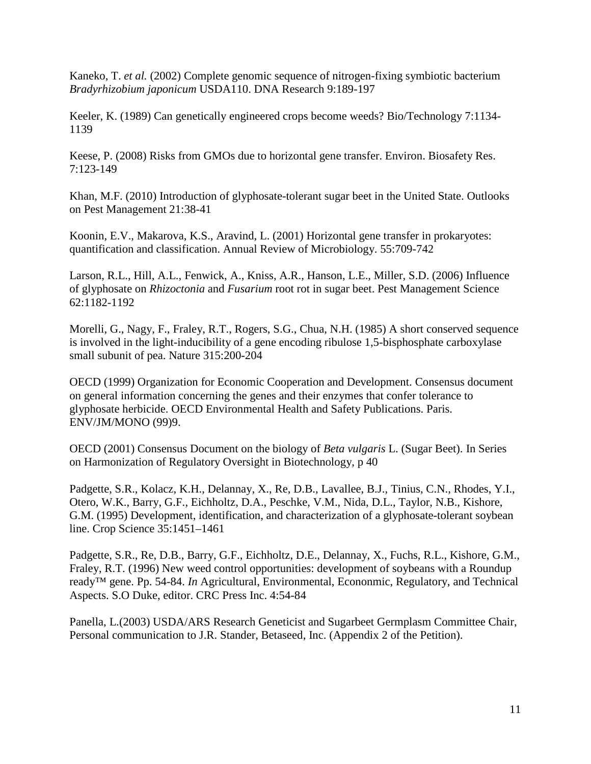Kaneko, T. *et al.* (2002) Complete genomic sequence of nitrogen-fixing symbiotic bacterium *Bradyrhizobium japonicum* USDA110. DNA Research 9:189-197

Keeler, K. (1989) Can genetically engineered crops become weeds? Bio/Technology 7:1134- 1139

Keese, P. (2008) Risks from GMOs due to horizontal gene transfer. Environ. Biosafety Res. 7:123-149

Khan, M.F. (2010) Introduction of glyphosate-tolerant sugar beet in the United State. Outlooks on Pest Management 21:38-41

Koonin, E.V., Makarova, K.S., Aravind, L. (2001) Horizontal gene transfer in prokaryotes: quantification and classification. Annual Review of Microbiology. 55:709-742

Larson, R.L., Hill, A.L., Fenwick, A., Kniss, A.R., Hanson, L.E., Miller, S.D. (2006) Influence of glyphosate on *Rhizoctonia* and *Fusarium* root rot in sugar beet. Pest Management Science 62:1182-1192

Morelli, G., Nagy, F., Fraley, R.T., Rogers, S.G., Chua, N.H. (1985) A short conserved sequence is involved in the light-inducibility of a gene encoding ribulose 1,5-bisphosphate carboxylase small subunit of pea. Nature 315:200-204

OECD (1999) Organization for Economic Cooperation and Development. Consensus document on general information concerning the genes and their enzymes that confer tolerance to glyphosate herbicide. OECD Environmental Health and Safety Publications. Paris. ENV/JM/MONO (99)9.

OECD (2001) Consensus Document on the biology of *Beta vulgaris* L. (Sugar Beet). In Series on Harmonization of Regulatory Oversight in Biotechnology, p 40

Padgette, S.R., Kolacz, K.H., Delannay, X., Re, D.B., Lavallee, B.J., Tinius, C.N., Rhodes, Y.I., Otero, W.K., Barry, G.F., Eichholtz, D.A., Peschke, V.M., Nida, D.L., Taylor, N.B., Kishore, G.M. (1995) Development, identification, and characterization of a glyphosate-tolerant soybean line. Crop Science 35:1451–1461

Padgette, S.R., Re, D.B., Barry, G.F., Eichholtz, D.E., Delannay, X., Fuchs, R.L., Kishore, G.M., Fraley, R.T. (1996) New weed control opportunities: development of soybeans with a Roundup ready™ gene. Pp. 54-84. *In* Agricultural, Environmental, Econonmic, Regulatory, and Technical Aspects. S.O Duke, editor. CRC Press Inc. 4:54-84

Panella, L.(2003) USDA/ARS Research Geneticist and Sugarbeet Germplasm Committee Chair, Personal communication to J.R. Stander, Betaseed, Inc. (Appendix 2 of the Petition).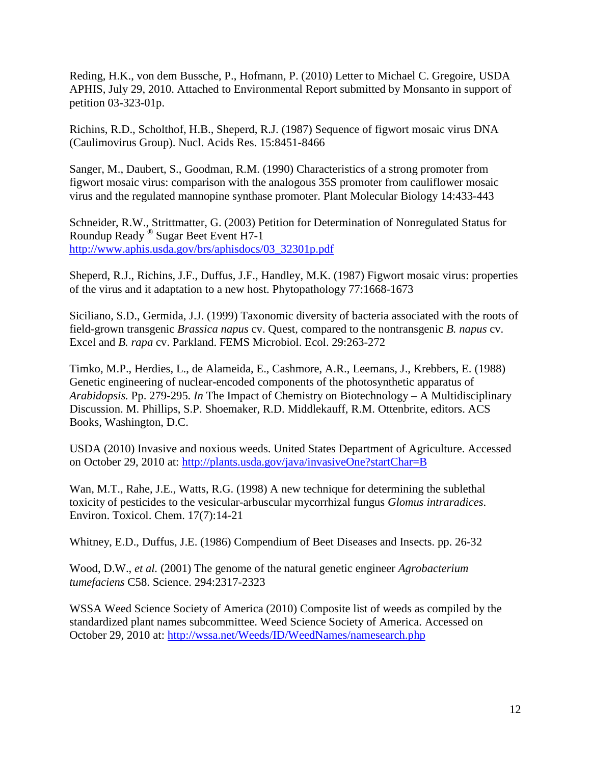Reding, H.K., von dem Bussche, P., Hofmann, P. (2010) Letter to Michael C. Gregoire, USDA APHIS, July 29, 2010. Attached to Environmental Report submitted by Monsanto in support of petition 03-323-01p.

Richins, R.D., Scholthof, H.B., Sheperd, R.J. (1987) Sequence of figwort mosaic virus DNA (Caulimovirus Group). Nucl. Acids Res. 15:8451-8466

Sanger, M., Daubert, S., Goodman, R.M. (1990) Characteristics of a strong promoter from figwort mosaic virus: comparison with the analogous 35S promoter from cauliflower mosaic virus and the regulated mannopine synthase promoter. Plant Molecular Biology 14:433-443

Schneider, R.W., Strittmatter, G. (2003) Petition for Determination of Nonregulated Status for Roundup Ready ® Sugar Beet Event H7-1 [http://www.aphis.usda.gov/brs/aphisdocs/03\\_32301p.pdf](http://www.aphis.usda.gov/brs/aphisdocs/03_32301p.pdf)

Sheperd, R.J., Richins, J.F., Duffus, J.F., Handley, M.K. (1987) Figwort mosaic virus: properties of the virus and it adaptation to a new host. Phytopathology 77:1668-1673

Siciliano, S.D., Germida, J.J. (1999) Taxonomic diversity of bacteria associated with the roots of field-grown transgenic *Brassica napus* cv. Quest, compared to the nontransgenic *B. napus* cv. Excel and *B. rapa* cv. Parkland. FEMS Microbiol. Ecol. 29:263-272

Timko, M.P., Herdies, L., de Alameida, E., Cashmore, A.R., Leemans, J., Krebbers, E. (1988) Genetic engineering of nuclear-encoded components of the photosynthetic apparatus of *Arabidopsis.* Pp. 279-295. *In* The Impact of Chemistry on Biotechnology – A Multidisciplinary Discussion. M. Phillips, S.P. Shoemaker, R.D. Middlekauff, R.M. Ottenbrite, editors. ACS Books, Washington, D.C.

USDA (2010) Invasive and noxious weeds. United States Department of Agriculture. Accessed on October 29, 2010 at:<http://plants.usda.gov/java/invasiveOne?startChar=B>

Wan, M.T., Rahe, J.E., Watts, R.G. (1998) A new technique for determining the sublethal toxicity of pesticides to the vesicular-arbuscular mycorrhizal fungus *Glomus intraradices*. Environ. Toxicol. Chem. 17(7):14-21

Whitney, E.D., Duffus, J.E. (1986) Compendium of Beet Diseases and Insects. pp. 26-32

Wood, D.W., *et al.* (2001) The genome of the natural genetic engineer *Agrobacterium tumefaciens* C58. Science. 294:2317-2323

WSSA Weed Science Society of America (2010) Composite list of weeds as compiled by the standardized plant names subcommittee. Weed Science Society of America. Accessed on October 29, 2010 at:<http://wssa.net/Weeds/ID/WeedNames/namesearch.php>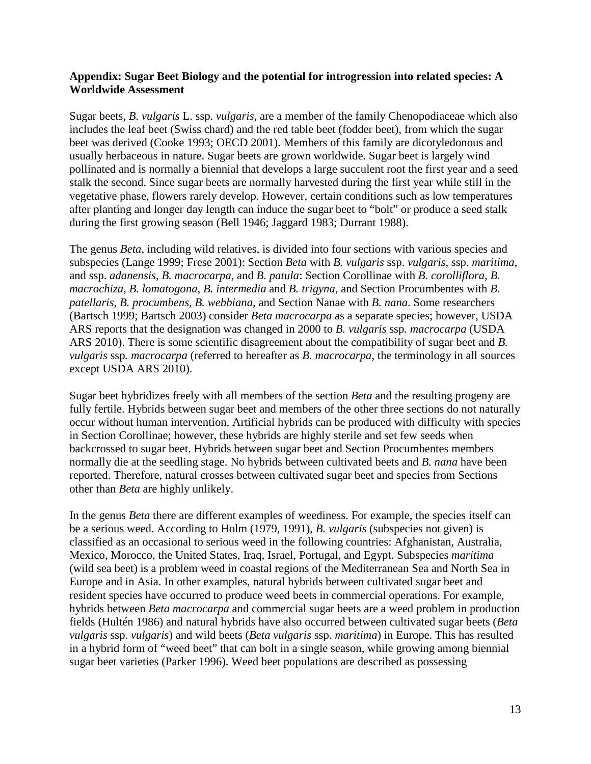#### **Appendix: Sugar Beet Biology and the potential for introgression into related species: A Worldwide Assessment**

Sugar beets, *B. vulgaris* L. ssp. *vulgaris*, are a member of the family Chenopodiaceae which also includes the leaf beet (Swiss chard) and the red table beet (fodder beet), from which the sugar beet was derived (Cooke 1993; OECD 2001). Members of this family are dicotyledonous and usually herbaceous in nature. Sugar beets are grown worldwide. Sugar beet is largely wind pollinated and is normally a biennial that develops a large succulent root the first year and a seed stalk the second. Since sugar beets are normally harvested during the first year while still in the vegetative phase, flowers rarely develop. However, certain conditions such as low temperatures after planting and longer day length can induce the sugar beet to "bolt" or produce a seed stalk during the first growing season (Bell 1946; Jaggard 1983; Durrant 1988).

The genus *Beta*, including wild relatives, is divided into four sections with various species and subspecies (Lange 1999; Frese 2001): Section *Beta* with *B. vulgaris* ssp. *vulgaris,* ssp. *maritima*, and ssp. *adanensis*, *B. macrocarpa*, and *B. patula*: Section Corollinae with *B. corolliflora*, *B. macrochiza*, *B. lomatogona*, *B. intermedia* and *B. trigyna*, and Section Procumbentes with *B. patellaris, B. procumbens, B. webbiana,* and Section Nanae with *B. nana*. Some researchers (Bartsch 1999; Bartsch 2003) consider *Beta macrocarpa* as a separate species; however, USDA ARS reports that the designation was changed in 2000 to *B. vulgaris* ssp*. macrocarpa* (USDA ARS 2010). There is some scientific disagreement about the compatibility of sugar beet and *B. vulgaris* ssp*. macrocarpa* (referred to hereafter as *B. macrocarpa*, the terminology in all sources except USDA ARS 2010).

Sugar beet hybridizes freely with all members of the section *Beta* and the resulting progeny are fully fertile. Hybrids between sugar beet and members of the other three sections do not naturally occur without human intervention. Artificial hybrids can be produced with difficulty with species in Section Corollinae; however, these hybrids are highly sterile and set few seeds when backcrossed to sugar beet. Hybrids between sugar beet and Section Procumbentes members normally die at the seedling stage. No hybrids between cultivated beets and *B. nana* have been reported. Therefore, natural crosses between cultivated sugar beet and species from Sections other than *Beta* are highly unlikely.

In the genus *Beta* there are different examples of weediness. For example, the species itself can be a serious weed. According to Holm (1979, 1991), *B. vulgaris* (subspecies not given) is classified as an occasional to serious weed in the following countries: Afghanistan, Australia, Mexico, Morocco, the United States, Iraq, Israel, Portugal, and Egypt. Subspecies *maritima*  (wild sea beet) is a problem weed in coastal regions of the Mediterranean Sea and North Sea in Europe and in Asia. In other examples, natural hybrids between cultivated sugar beet and resident species have occurred to produce weed beets in commercial operations. For example, hybrids between *Beta macrocarpa* and commercial sugar beets are a weed problem in production fields (Hultén 1986) and natural hybrids have also occurred between cultivated sugar beets (*Beta vulgaris* ssp. *vulgaris*) and wild beets (*Beta vulgaris* ssp. *maritima*) in Europe. This has resulted in a hybrid form of "weed beet" that can bolt in a single season, while growing among biennial sugar beet varieties (Parker 1996). Weed beet populations are described as possessing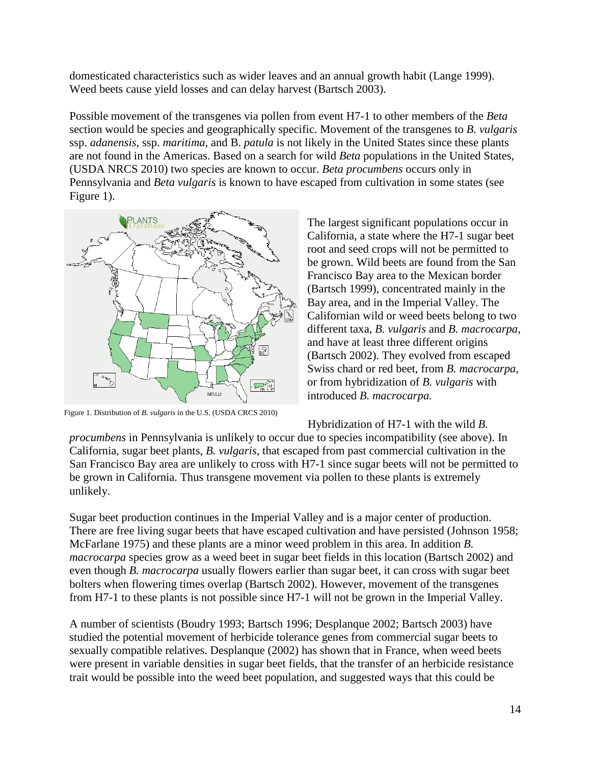domesticated characteristics such as wider leaves and an annual growth habit (Lange 1999). Weed beets cause yield losses and can delay harvest (Bartsch 2003).

Possible movement of the transgenes via pollen from event H7-1 to other members of the *Beta* section would be species and geographically specific. Movement of the transgenes to *B. vulgaris* ssp. *adanensis*, ssp. *maritima*, and B. *patula* is not likely in the United States since these plants are not found in the Americas. Based on a search for wild *Beta* populations in the United States, (USDA NRCS 2010) two species are known to occur. *Beta procumbens* occurs only in Pennsylvania and *Beta vulgaris* is known to have escaped from cultivation in some states (see Figure 1).



Figure 1. Distribution of *B. vulgaris* in the U.S. (USDA CRCS 2010)

The largest significant populations occur in California, a state where the H7-1 sugar beet root and seed crops will not be permitted to be grown. Wild beets are found from the San Francisco Bay area to the Mexican border (Bartsch 1999), concentrated mainly in the Bay area, and in the Imperial Valley. The Californian wild or weed beets belong to two different taxa, *B. vulgaris* and *B. macrocarpa*, and have at least three different origins (Bartsch 2002). They evolved from escaped Swiss chard or red beet, from *B. macrocarpa*, or from hybridization of *B. vulgaris* with introduced *B. macrocarpa.* 

Hybridization of H7-1 with the wild *B.* 

*procumbens* in Pennsylvania is unlikely to occur due to species incompatibility (see above). In California, sugar beet plants, *B. vulgaris*, that escaped from past commercial cultivation in the San Francisco Bay area are unlikely to cross with H7-1 since sugar beets will not be permitted to be grown in California. Thus transgene movement via pollen to these plants is extremely unlikely.

Sugar beet production continues in the Imperial Valley and is a major center of production. There are free living sugar beets that have escaped cultivation and have persisted (Johnson 1958; McFarlane 1975) and these plants are a minor weed problem in this area. In addition *B. macrocarpa* species grow as a weed beet in sugar beet fields in this location (Bartsch 2002) and even though *B. macrocarpa* usually flowers earlier than sugar beet, it can cross with sugar beet bolters when flowering times overlap (Bartsch 2002). However, movement of the transgenes from H7-1 to these plants is not possible since H7-1 will not be grown in the Imperial Valley.

A number of scientists (Boudry 1993; Bartsch 1996; Desplanque 2002; Bartsch 2003) have studied the potential movement of herbicide tolerance genes from commercial sugar beets to sexually compatible relatives. Desplanque (2002) has shown that in France, when weed beets were present in variable densities in sugar beet fields, that the transfer of an herbicide resistance trait would be possible into the weed beet population, and suggested ways that this could be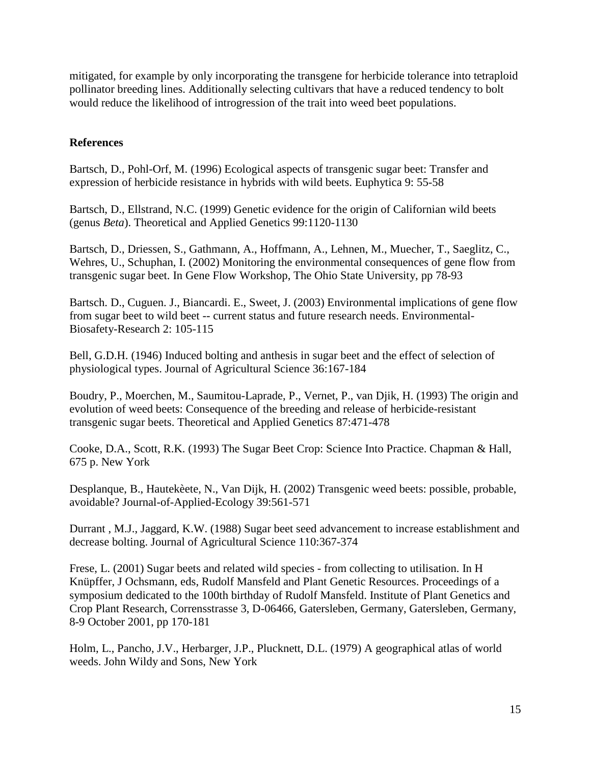mitigated, for example by only incorporating the transgene for herbicide tolerance into tetraploid pollinator breeding lines. Additionally selecting cultivars that have a reduced tendency to bolt would reduce the likelihood of introgression of the trait into weed beet populations.

## **References**

Bartsch, D., Pohl-Orf, M. (1996) Ecological aspects of transgenic sugar beet: Transfer and expression of herbicide resistance in hybrids with wild beets. Euphytica 9: 55-58

Bartsch, D., Ellstrand, N.C. (1999) Genetic evidence for the origin of Californian wild beets (genus *Beta*). Theoretical and Applied Genetics 99:1120-1130

Bartsch, D., Driessen, S., Gathmann, A., Hoffmann, A., Lehnen, M., Muecher, T., Saeglitz, C., Wehres, U., Schuphan, I. (2002) Monitoring the environmental consequences of gene flow from transgenic sugar beet. In Gene Flow Workshop, The Ohio State University, pp 78-93

Bartsch. D., Cuguen. J., Biancardi. E., Sweet, J. (2003) Environmental implications of gene flow from sugar beet to wild beet -- current status and future research needs. Environmental-Biosafety-Research 2: 105-115

Bell, G.D.H. (1946) Induced bolting and anthesis in sugar beet and the effect of selection of physiological types. Journal of Agricultural Science 36:167-184

Boudry, P., Moerchen, M., Saumitou-Laprade, P., Vernet, P., van Djik, H. (1993) The origin and evolution of weed beets: Consequence of the breeding and release of herbicide-resistant transgenic sugar beets. Theoretical and Applied Genetics 87:471-478

Cooke, D.A., Scott, R.K. (1993) The Sugar Beet Crop: Science Into Practice. Chapman & Hall, 675 p. New York

Desplanque, B., Hautekèete, N., Van Dijk, H. (2002) Transgenic weed beets: possible, probable, avoidable? Journal-of-Applied-Ecology 39:561-571

Durrant , M.J., Jaggard, K.W. (1988) Sugar beet seed advancement to increase establishment and decrease bolting. Journal of Agricultural Science 110:367-374

Frese, L. (2001) Sugar beets and related wild species - from collecting to utilisation. In H Knüpffer, J Ochsmann, eds, Rudolf Mansfeld and Plant Genetic Resources. Proceedings of a symposium dedicated to the 100th birthday of Rudolf Mansfeld. Institute of Plant Genetics and Crop Plant Research, Corrensstrasse 3, D-06466, Gatersleben, Germany, Gatersleben, Germany, 8-9 October 2001, pp 170-181

Holm, L., Pancho, J.V., Herbarger, J.P., Plucknett, D.L. (1979) A geographical atlas of world weeds. John Wildy and Sons, New York